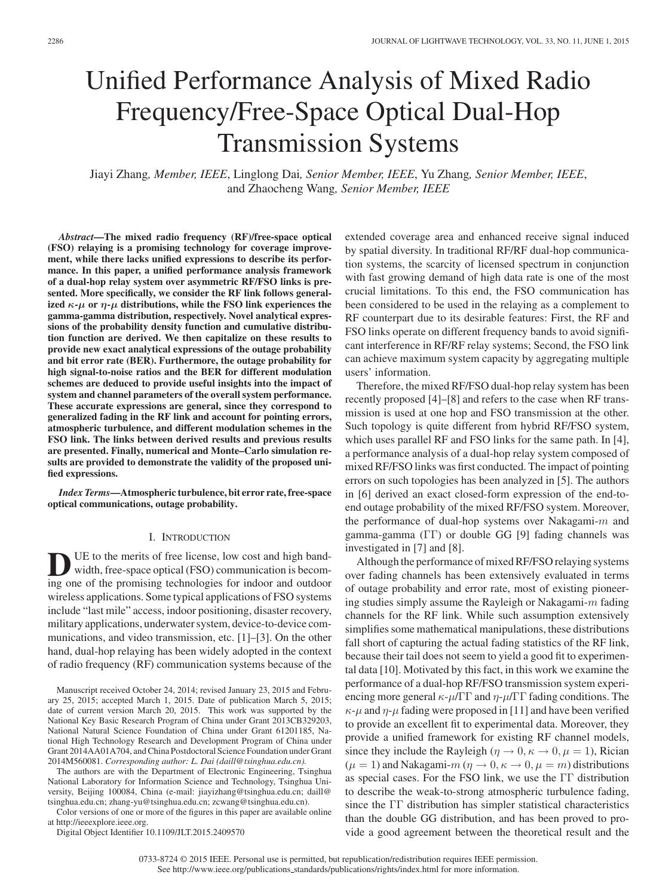# Unified Performance Analysis of Mixed Radio Frequency/Free-Space Optical Dual-Hop Transmission Systems

Jiayi Zhang*, Member, IEEE*, Linglong Dai*, Senior Member, IEEE*, Yu Zhang*, Senior Member, IEEE*, and Zhaocheng Wang*, Senior Member, IEEE*

*Abstract***—The mixed radio frequency (RF)/free-space optical (FSO) relaying is a promising technology for coverage improvement, while there lacks unified expressions to describe its performance. In this paper, a unified performance analysis framework of a dual-hop relay system over asymmetric RF/FSO links is presented. More specifically, we consider the RF link follows generalized** *κ***-***μ* **or** *η***-***μ* **distributions, while the FSO link experiences the gamma-gamma distribution, respectively. Novel analytical expressions of the probability density function and cumulative distribution function are derived. We then capitalize on these results to provide new exact analytical expressions of the outage probability and bit error rate (BER). Furthermore, the outage probability for high signal-to-noise ratios and the BER for different modulation schemes are deduced to provide useful insights into the impact of system and channel parameters of the overall system performance. These accurate expressions are general, since they correspond to generalized fading in the RF link and account for pointing errors, atmospheric turbulence, and different modulation schemes in the FSO link. The links between derived results and previous results are presented. Finally, numerical and Monte–Carlo simulation results are provided to demonstrate the validity of the proposed unified expressions.**

*Index Terms***—Atmospheric turbulence, bit error rate, free-space optical communications, outage probability.**

# I. INTRODUCTION

UE to the merits of free license, low cost and high bandwidth, free-space optical (FSO) communication is becoming one of the promising technologies for indoor and outdoor wireless applications. Some typical applications of FSO systems include "last mile" access, indoor positioning, disaster recovery, military applications, underwater system, device-to-device communications, and video transmission, etc. [1]–[3]. On the other hand, dual-hop relaying has been widely adopted in the context of radio frequency (RF) communication systems because of the

The authors are with the Department of Electronic Engineering, Tsinghua National Laboratory for Information Science and Technology, Tsinghua University, Beijing 100084, China (e-mail: jiayizhang@tsinghua.edu.cn; daill@ tsinghua.edu.cn; zhang-yu@tsinghua.edu.cn; zcwang@tsinghua.edu.cn).

Color versions of one or more of the figures in this paper are available online at http://ieeexplore.ieee.org.

Digital Object Identifier 10.1109/JLT.2015.2409570

extended coverage area and enhanced receive signal induced by spatial diversity. In traditional RF/RF dual-hop communication systems, the scarcity of licensed spectrum in conjunction with fast growing demand of high data rate is one of the most crucial limitations. To this end, the FSO communication has been considered to be used in the relaying as a complement to RF counterpart due to its desirable features: First, the RF and FSO links operate on different frequency bands to avoid significant interference in RF/RF relay systems; Second, the FSO link can achieve maximum system capacity by aggregating multiple users' information.

Therefore, the mixed RF/FSO dual-hop relay system has been recently proposed [4]–[8] and refers to the case when RF transmission is used at one hop and FSO transmission at the other. Such topology is quite different from hybrid RF/FSO system, which uses parallel RF and FSO links for the same path. In [4], a performance analysis of a dual-hop relay system composed of mixed RF/FSO links was first conducted. The impact of pointing errors on such topologies has been analyzed in [5]. The authors in [6] derived an exact closed-form expression of the end-toend outage probability of the mixed RF/FSO system. Moreover, the performance of dual-hop systems over Nakagami- $m$  and gamma-gamma (ΓΓ) or double GG [9] fading channels was investigated in [7] and [8].

Although the performance of mixed RF/FSO relaying systems over fading channels has been extensively evaluated in terms of outage probability and error rate, most of existing pioneering studies simply assume the Rayleigh or Nakagami-m fading channels for the RF link. While such assumption extensively simplifies some mathematical manipulations, these distributions fall short of capturing the actual fading statistics of the RF link, because their tail does not seem to yield a good fit to experimental data [10]. Motivated by this fact, in this work we examine the performance of a dual-hop RF/FSO transmission system experiencing more general  $\kappa$ - $\mu$ /ΓΓ and  $\eta$ - $\mu$ /ΓΓ fading conditions. The  $\kappa$ - $\mu$  and  $\eta$ - $\mu$  fading were proposed in [11] and have been verified to provide an excellent fit to experimental data. Moreover, they provide a unified framework for existing RF channel models, since they include the Rayleigh ( $\eta \rightarrow 0, \kappa \rightarrow 0, \mu = 1$ ), Rician  $(\mu = 1)$  and Nakagami- $m (\eta \rightarrow 0, \kappa \rightarrow 0, \mu = m)$  distributions as special cases. For the FSO link, we use the ΓΓ distribution to describe the weak-to-strong atmospheric turbulence fading, since the ΓΓ distribution has simpler statistical characteristics than the double GG distribution, and has been proved to provide a good agreement between the theoretical result and the

Manuscript received October 24, 2014; revised January 23, 2015 and February 25, 2015; accepted March 1, 2015. Date of publication March 5, 2015; date of current version March 20, 2015. This work was supported by the National Key Basic Research Program of China under Grant 2013CB329203, National Natural Science Foundation of China under Grant 61201185, National High Technology Research and Development Program of China under Grant 2014AA01A704, and China Postdoctoral Science Foundation under Grant 2014M560081. *Corresponding author: L. Dai (daill@tsinghua.edu.cn).*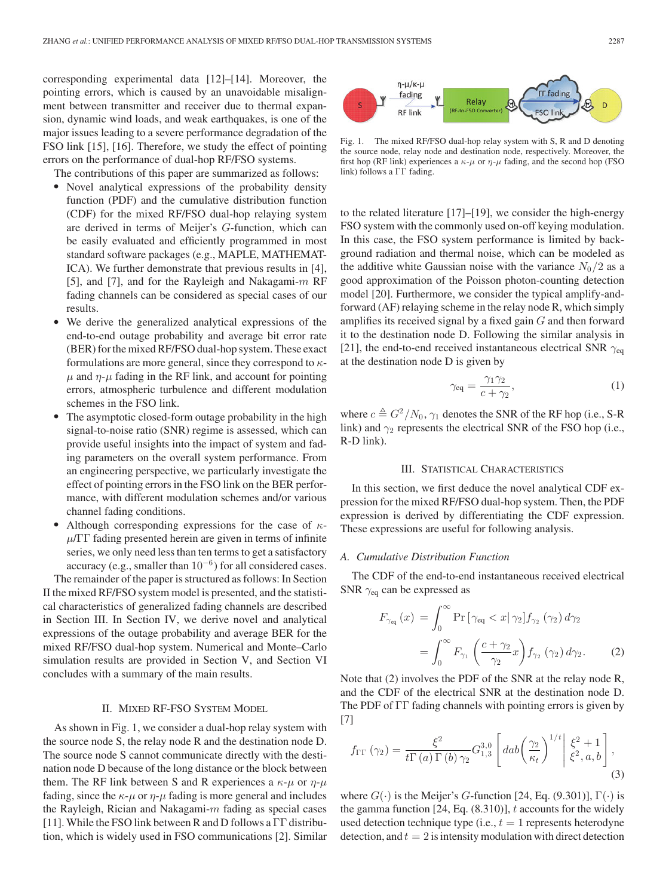corresponding experimental data [12]–[14]. Moreover, the pointing errors, which is caused by an unavoidable misalignment between transmitter and receiver due to thermal expansion, dynamic wind loads, and weak earthquakes, is one of the major issues leading to a severe performance degradation of the FSO link [15], [16]. Therefore, we study the effect of pointing errors on the performance of dual-hop RF/FSO systems.

The contributions of this paper are summarized as follows:

- Novel analytical expressions of the probability density function (PDF) and the cumulative distribution function (CDF) for the mixed RF/FSO dual-hop relaying system are derived in terms of Meijer's G-function, which can be easily evaluated and efficiently programmed in most standard software packages (e.g., MAPLE, MATHEMAT-ICA). We further demonstrate that previous results in [4], [5], and [7], and for the Rayleigh and Nakagami-m RF fading channels can be considered as special cases of our results.
- $\bullet$  We derive the generalized analytical expressions of the end-to-end outage probability and average bit error rate (BER) for the mixed RF/FSO dual-hop system. These exact formulations are more general, since they correspond to  $\kappa$ - $\mu$  and  $\eta$ - $\mu$  fading in the RF link, and account for pointing errors, atmospheric turbulence and different modulation schemes in the FSO link.
- - The asymptotic closed-form outage probability in the high signal-to-noise ratio (SNR) regime is assessed, which can provide useful insights into the impact of system and fading parameters on the overall system performance. From an engineering perspective, we particularly investigate the effect of pointing errors in the FSO link on the BER performance, with different modulation schemes and/or various channel fading conditions.
- -Although corresponding expressions for the case of  $\kappa$ - $\mu/\Gamma\Gamma$  fading presented herein are given in terms of infinite series, we only need less than ten terms to get a satisfactory accuracy (e.g., smaller than  $10^{-6}$ ) for all considered cases.

The remainder of the paper is structured as follows: In Section II the mixed RF/FSO system model is presented, and the statistical characteristics of generalized fading channels are described in Section III. In Section IV, we derive novel and analytical expressions of the outage probability and average BER for the mixed RF/FSO dual-hop system. Numerical and Monte–Carlo simulation results are provided in Section V, and Section VI concludes with a summary of the main results.

# II. MIXED RF-FSO SYSTEM MODEL

As shown in Fig. 1, we consider a dual-hop relay system with the source node S, the relay node R and the destination node D. The source node S cannot communicate directly with the destination node D because of the long distance or the block between them. The RF link between S and R experiences a  $\kappa$ - $\mu$  or  $\eta$ - $\mu$ fading, since the  $\kappa$ - $\mu$  or  $\eta$ - $\mu$  fading is more general and includes the Rayleigh, Rician and Nakagami- $m$  fading as special cases [11]. While the FSO link between R and D follows a ΓΓ distribution, which is widely used in FSO communications [2]. Similar



Fig. 1. The mixed RF/FSO dual-hop relay system with S, R and D denoting the source node, relay node and destination node, respectively. Moreover, the first hop (RF link) experiences a  $\kappa$ - $\mu$  or  $\eta$ - $\mu$  fading, and the second hop (FSO link) follows a ΓΓ fading.

to the related literature [17]–[19], we consider the high-energy FSO system with the commonly used on-off keying modulation. In this case, the FSO system performance is limited by background radiation and thermal noise, which can be modeled as the additive white Gaussian noise with the variance  $N_0/2$  as a good approximation of the Poisson photon-counting detection model [20]. Furthermore, we consider the typical amplify-andforward (AF) relaying scheme in the relay node R, which simply amplifies its received signal by a fixed gain  $G$  and then forward it to the destination node D. Following the similar analysis in [21], the end-to-end received instantaneous electrical SNR  $\gamma_{\text{eq}}$ at the destination node D is given by

$$
\gamma_{\text{eq}} = \frac{\gamma_1 \gamma_2}{c + \gamma_2},\tag{1}
$$

where  $c \triangleq G^2/N_0$ ,  $\gamma_1$  denotes the SNR of the RF hop (i.e., S-R link) and  $\gamma_2$  represents the electrical SNR of the FSO hop (i.e., R-D link).

#### III. STATISTICAL CHARACTERISTICS

In this section, we first deduce the novel analytical CDF expression for the mixed RF/FSO dual-hop system. Then, the PDF expression is derived by differentiating the CDF expression. These expressions are useful for following analysis.

# *A. Cumulative Distribution Function*

The CDF of the end-to-end instantaneous received electrical SNR  $\gamma_{\text{eq}}$  can be expressed as

$$
F_{\gamma_{\text{eq}}}(x) = \int_0^\infty \Pr\left[\gamma_{\text{eq}} < x | \gamma_2\right] f_{\gamma_2} \left(\gamma_2\right) d\gamma_2
$$
\n
$$
= \int_0^\infty F_{\gamma_1} \left(\frac{c + \gamma_2}{\gamma_2} x\right) f_{\gamma_2} \left(\gamma_2\right) d\gamma_2. \tag{2}
$$

Note that (2) involves the PDF of the SNR at the relay node R, and the CDF of the electrical SNR at the destination node D. The PDF of ΓΓ fading channels with pointing errors is given by [7]

$$
f_{\Gamma\Gamma}\left(\gamma_{2}\right) = \frac{\xi^{2}}{t\Gamma\left(a\right)\Gamma\left(b\right)\gamma_{2}} G_{1,3}^{3,0} \left[ dab \left(\frac{\gamma_{2}}{\kappa_{t}}\right)^{1/t} \middle| \begin{array}{l} \xi^{2} + 1\\ \xi^{2}, a, b \end{array} \right],\tag{3}
$$

where  $G(\cdot)$  is the Meijer's *G*-function [24, Eq. (9.301)],  $\Gamma(\cdot)$  is the gamma function  $[24, Eq. (8.310)], t$  accounts for the widely used detection technique type (i.e.,  $t = 1$  represents heterodyne detection, and  $t = 2$  is intensity modulation with direct detection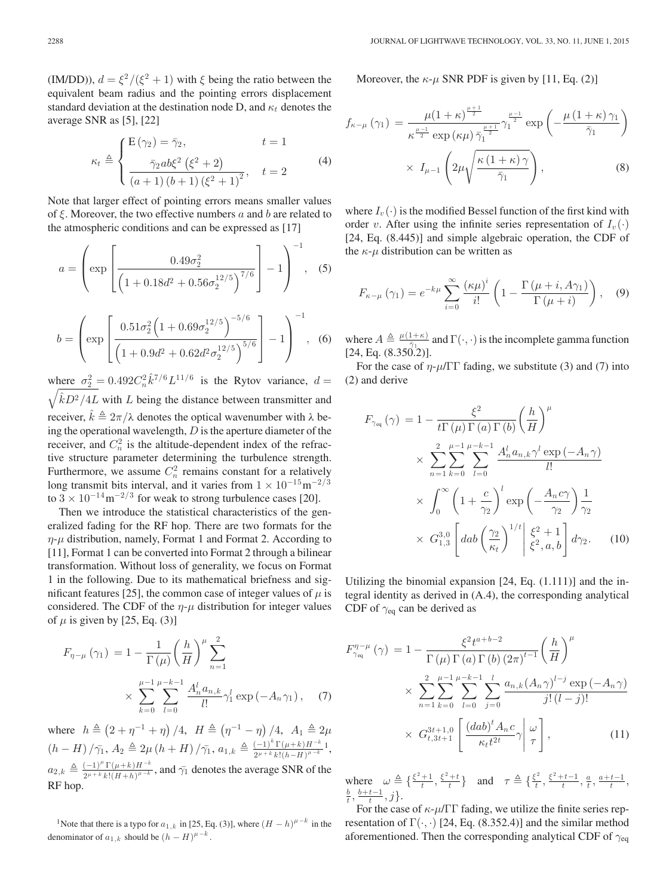(IM/DD)),  $d = \xi^2/(\xi^2 + 1)$  with  $\xi$  being the ratio between the equivalent beam radius and the pointing errors displacement standard deviation at the destination node D, and  $\kappa_t$  denotes the average SNR as [5], [22]

$$
\kappa_t \triangleq \begin{cases} \mathbf{E}(\gamma_2) = \bar{\gamma}_2, & t = 1 \\ \frac{\bar{\gamma}_2 ab \xi^2 (\xi^2 + 2)}{(a+1)(b+1)(\xi^2 + 1)^2}, & t = 2 \end{cases}
$$
(4)

Note that larger effect of pointing errors means smaller values of  $\xi$ . Moreover, the two effective numbers a and b are related to the atmospheric conditions and can be expressed as [17]

$$
a = \left(\exp\left[\frac{0.49\sigma_2^2}{\left(1 + 0.18d^2 + 0.56\sigma_2^{12/5}\right)^{7/6}}\right] - 1\right)^{-1}, \quad (5)
$$

$$
b = \left(\exp\left[\frac{0.51\sigma_2^2 \left(1 + 0.69\sigma_2^{12/5}\right)^{-5/6}}{\left(1 + 0.9d^2 + 0.62d^2\sigma_2^{12/5}\right)^{5/6}}\right] - 1\right)^{-1}, \quad (6)
$$

where  $\sigma_2^2 = 0.492 C_n^2 \hat{k}^{7/6} L^{11/6}$  is the Rytov variance,  $d =$  $\sqrt{\hat{k}D^2/4L}$  with L being the distance between transmitter and receiver,  $\hat{k} \triangleq 2\pi/\lambda$  denotes the optical wavenumber with λ being the operational wavelength,  $D$  is the aperture diameter of the receiver, and  $C_n^2$  is the altitude-dependent index of the refractive structure parameter determining the turbulence strength. Furthermore, we assume  $C_n^2$  remains constant for a relatively long transmit bits interval, and it varies from  $1 \times 10^{-15}$ m<sup>-2/3</sup> to  $3 \times 10^{-14}$  m<sup>-2/3</sup> for weak to strong turbulence cases [20].

Then we introduce the statistical characteristics of the generalized fading for the RF hop. There are two formats for the  $\eta$ - $\mu$  distribution, namely, Format 1 and Format 2. According to [11], Format 1 can be converted into Format 2 through a bilinear transformation. Without loss of generality, we focus on Format 1 in the following. Due to its mathematical briefness and significant features [25], the common case of integer values of  $\mu$  is considered. The CDF of the  $\eta$ - $\mu$  distribution for integer values of  $\mu$  is given by [25, Eq. (3)]

$$
F_{\eta-\mu}(\gamma_1) = 1 - \frac{1}{\Gamma(\mu)} \left(\frac{h}{H}\right)^{\mu} \sum_{n=1}^{2}
$$
  
 
$$
\times \sum_{k=0}^{\mu-1} \sum_{l=0}^{\mu-k-1} \frac{A_n^l a_{n,k}}{l!} \gamma_1^l \exp(-A_n \gamma_1), \quad (7)
$$

where  $h \triangleq (2 + \eta^{-1} + \eta) / 4$ ,  $H \triangleq (\eta^{-1} - \eta) / 4$ ,  $A_1 \triangleq 2\mu$  $(h-H)/\bar{\gamma_1}, A_2 \triangleq 2\mu (h+H)/\bar{\gamma_1}, a_{1,k} \triangleq \frac{(-1)^k \Gamma(\mu+k)H^{-k}}{2^{\mu+k} k!(h-H)^{\mu-k}}1,$  $a_{2,k} \triangleq \frac{(-1)^k \Gamma(\mu+k) H^{-k}}{2^{\mu+k} k! (H+h)^{\mu-k}}$ , and  $\bar{\gamma_1}$  denotes the average SNR of the RF hop.

<sup>1</sup>Note that there is a typo for  $a_{1,k}$  in [25, Eq. (3)], where  $(H - h)^{\mu - k}$  in the denominator of  $a_{1,k}$  should be  $(h - H)^{\mu - k}$ .

Moreover, the  $\kappa$ - $\mu$  SNR PDF is given by [11, Eq. (2)]

$$
f_{\kappa-\mu}(\gamma_1) = \frac{\mu(1+\kappa)^{\frac{\mu+1}{2}}}{\kappa^{\frac{\mu-1}{2}} \exp(\kappa\mu) \bar{\gamma}_1^{\frac{\mu+1}{2}}} \gamma_1^{\frac{\mu-1}{2}} \exp\left(-\frac{\mu(1+\kappa)\gamma_1}{\bar{\gamma}_1}\right) \times I_{\mu-1}\left(2\mu\sqrt{\frac{\kappa(1+\kappa)\gamma}{\bar{\gamma}_1}}\right),
$$
\n(8)

where  $I_v(\cdot)$  is the modified Bessel function of the first kind with order v. After using the infinite series representation of  $I_v(\cdot)$ [24, Eq. (8.445)] and simple algebraic operation, the CDF of the  $\kappa$ - $\mu$  distribution can be written as

$$
F_{\kappa-\mu}(\gamma_1) = e^{-k\mu} \sum_{i=0}^{\infty} \frac{(\kappa\mu)^i}{i!} \left(1 - \frac{\Gamma(\mu+i, A\gamma_1)}{\Gamma(\mu+i)}\right), \quad (9)
$$

where  $A \triangleq \frac{\mu(1+\kappa)}{\sigma^{\bar{\gamma}}-1}$  and  $\Gamma(\cdot, \cdot)$  is the incomplete gamma function  $[24, \text{Eq. } (8.350\text{·}2)].$ 

For the case of  $\eta$ - $\mu$ /ΓΓ fading, we substitute (3) and (7) into (2) and derive

$$
F_{\gamma_{\text{eq}}}(\gamma) = 1 - \frac{\xi^2}{t\Gamma(\mu)\Gamma(a)\Gamma(b)} \left(\frac{h}{H}\right)^{\mu}
$$
  
 
$$
\times \sum_{n=1}^{2} \sum_{k=0}^{\mu-1} \sum_{l=0}^{\mu-k-1} \frac{A_n^l a_{n,k} \gamma^l \exp(-A_n \gamma)}{l!}
$$
  
 
$$
\times \int_0^\infty \left(1 + \frac{c}{\gamma_2}\right)^l \exp\left(-\frac{A_n c \gamma}{\gamma_2}\right) \frac{1}{\gamma_2}
$$
  
 
$$
\times G_{1,3}^{3,0} \left[ dab \left(\frac{\gamma_2}{\kappa_t}\right)^{1/t} \middle| \frac{\xi^2 + 1}{\xi^2, a, b} \right] d\gamma_2.
$$
 (10)

Utilizing the binomial expansion [24, Eq. (1.111)] and the integral identity as derived in (A.4), the corresponding analytical CDF of  $\gamma_{eq}$  can be derived as

$$
F_{\gamma_{eq}}^{\eta-\mu}(\gamma) = 1 - \frac{\xi^2 t^{a+b-2}}{\Gamma(\mu) \Gamma(a) \Gamma(b) (2\pi)^{t-1}} \left(\frac{h}{H}\right)^{\mu} \times \sum_{n=1}^2 \sum_{k=0}^{\mu-1} \sum_{l=0}^{\mu-k-1} \sum_{j=0}^l \frac{a_{n,k} (A_n \gamma)^{l-j} \exp(-A_n \gamma)}{j! (l-j)!} \times G_{t,3t+1}^{3t+1,0} \left[ \frac{(dab)^t A_n c}{\kappa_t t^{2t}} \gamma \middle| \frac{\omega}{\tau} \right],
$$
 (11)

where  $\omega \triangleq \{\frac{\xi^2 + 1}{t}, \frac{\xi^2 + t}{t}\}$  and  $\tau \triangleq \{\frac{\xi^2}{t}, \frac{\xi^2 + t - 1}{t}, \frac{a}{t}, \frac{a + t - 1}{t}, \frac{b}{t}, \frac{b + t - 1}{t}, j\}.$ 

For the case of  $\kappa$ - $\mu$ /ΓΓ fading, we utilize the finite series representation of  $\Gamma(\cdot, \cdot)$  [24, Eq. (8.352.4)] and the similar method aforementioned. Then the corresponding analytical CDF of  $\gamma_{eq}$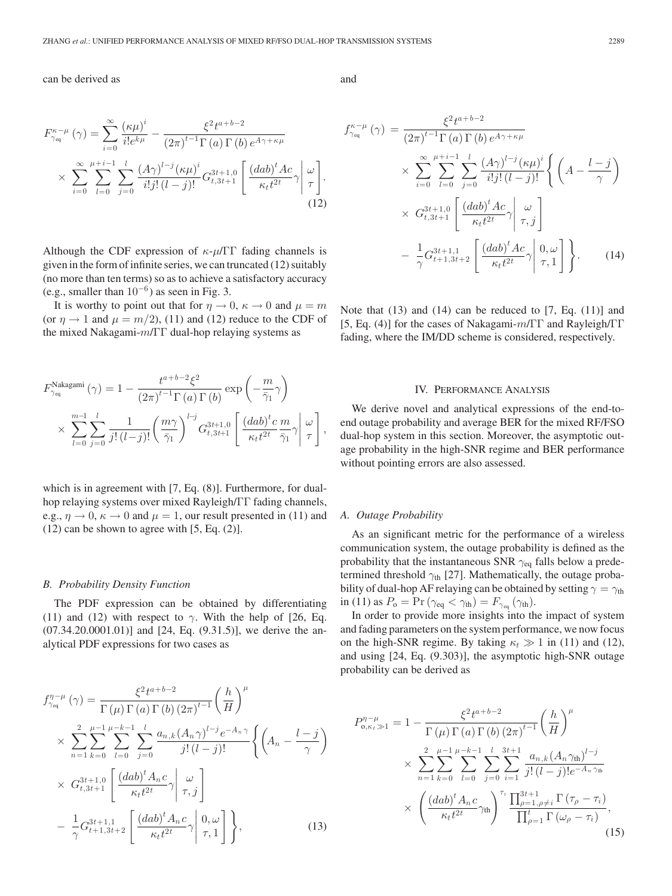## can be derived as

$$
F_{\gamma_{\text{eq}}}^{\kappa-\mu}(\gamma) = \sum_{i=0}^{\infty} \frac{(\kappa \mu)^i}{i!e^{k\mu}} - \frac{\xi^2 t^{a+b-2}}{(2\pi)^{t-1} \Gamma(a) \Gamma(b) e^{A\gamma + \kappa \mu}} \times \sum_{i=0}^{\infty} \sum_{l=0}^{\mu+i-1} \sum_{j=0}^{l} \frac{(A\gamma)^{l-j} (\kappa \mu)^i}{i!j! (l-j)!} G_{t,3t+1}^{3t+1,0} \left[ \frac{(dab)^t Ac}{\kappa_t t^{2t}} \gamma \middle| \frac{\omega}{\tau} \right]. \tag{12}
$$

Although the CDF expression of  $\kappa$ - $\mu$ /ΓΓ fading channels is given in the form of infinite series, we can truncated (12) suitably (no more than ten terms) so as to achieve a satisfactory accuracy (e.g., smaller than  $10^{-6}$ ) as seen in Fig. 3.

It is worthy to point out that for  $\eta \to 0$ ,  $\kappa \to 0$  and  $\mu = m$ (or  $\eta \rightarrow 1$  and  $\mu = m/2$ ), (11) and (12) reduce to the CDF of the mixed Nakagami-m/ΓΓ dual-hop relaying systems as

$$
F_{\gamma_{\text{eq}}}^{\text{Nakagami}}(\gamma) = 1 - \frac{t^{a+b-2}\xi^2}{(2\pi)^{t-1}\Gamma(a)\Gamma(b)} \exp\left(-\frac{m}{\bar{\gamma}_1}\gamma\right)
$$
  
\$\times \sum\_{l=0}^{m-1} \sum\_{j=0}^l \frac{1}{j!(l-j)!} \left(\frac{m\gamma}{\bar{\gamma}\_1}\right)^{l-j} G\_{t,3t+1}^{3t+1,0} \left[\frac{(dab)^t c}{\kappa\_t t^{2t}} \frac{m}{\bar{\gamma}\_1} \gamma \middle| \frac{\omega}{\tau}\right]\$,

which is in agreement with [7, Eq. (8)]. Furthermore, for dualhop relaying systems over mixed Rayleigh/ΓΓ fading channels, e.g.,  $\eta \rightarrow 0$ ,  $\kappa \rightarrow 0$  and  $\mu = 1$ , our result presented in (11) and  $(12)$  can be shown to agree with  $[5, Eq. (2)].$ 

#### *B. Probability Density Function*

The PDF expression can be obtained by differentiating (11) and (12) with respect to  $\gamma$ . With the help of [26, Eq.  $(07.34.20.0001.01)$ ] and [24, Eq.  $(9.31.5)$ ], we derive the analytical PDF expressions for two cases as

$$
f_{\gamma_{\text{eq}}}^{\eta-\mu}(\gamma) = \frac{\xi^2 t^{a+b-2}}{\Gamma(\mu) \Gamma(a) \Gamma(b) (2\pi)^{t-1}} \left(\frac{h}{H}\right)^{\mu} \times \sum_{n=1}^2 \sum_{k=0}^{\mu-1} \sum_{l=0}^{\mu-k-1} \sum_{j=0}^l \frac{a_{n,k} (A_n \gamma)^{l-j} e^{-A_n \gamma}}{j! (l-j)!} \left\{ \left(A_n - \frac{l-j}{\gamma}\right) \times G_{t,3t+1,0}^{3t+1,0} \left[ \frac{(dab)^t A_n c}{\kappa_t t^{2t}} \gamma \middle| \tau, j \right] - \frac{1}{\gamma} G_{t+1,3t+2}^{3t+1,1} \left[ \frac{(dab)^t A_n c}{\kappa_t t^{2t}} \gamma \middle| \tau, 1 \right] \right\},
$$
\n(13)

and

$$
f_{\gamma_{eq}}^{\kappa-\mu}(\gamma) = \frac{\xi^2 t^{a+b-2}}{(2\pi)^{t-1} \Gamma(a) \Gamma(b) e^{A\gamma+\kappa\mu}} \times \sum_{i=0}^{\infty} \sum_{l=0}^{\mu+i-1} \sum_{j=0}^{l} \frac{(A\gamma)^{l-j} (\kappa\mu)^i}{i!j!(l-j)!} \left\{ \left( A - \frac{l-j}{\gamma} \right) \times G_{t,3t+1}^{3t+1,0} \left[ \frac{(dab)^t Ac}{\kappa_t t^{2t}} \gamma \middle| \frac{\omega}{\tau, j} \right] - \frac{1}{\gamma} G_{t+1,3t+2}^{3t+1,1} \left[ \frac{(dab)^t Ac}{\kappa_t t^{2t}} \gamma \middle| \frac{0, \omega}{\tau, 1} \right] \right\}.
$$
 (14)

Note that  $(13)$  and  $(14)$  can be reduced to  $[7, Eq. (11)]$  and [5, Eq. (4)] for the cases of Nakagami-m/ΓΓ and Rayleigh/ΓΓ fading, where the IM/DD scheme is considered, respectively.

#### IV. PERFORMANCE ANALYSIS

We derive novel and analytical expressions of the end-toend outage probability and average BER for the mixed RF/FSO dual-hop system in this section. Moreover, the asymptotic outage probability in the high-SNR regime and BER performance without pointing errors are also assessed.

## *A. Outage Probability*

As an significant metric for the performance of a wireless communication system, the outage probability is defined as the probability that the instantaneous SNR  $\gamma_{\text{eq}}$  falls below a predetermined threshold  $\gamma_{\text{th}}$  [27]. Mathematically, the outage probability of dual-hop AF relaying can be obtained by setting  $\gamma = \gamma_{\text{th}}$ in (11) as  $P_o = \Pr(\gamma_{eq} < \gamma_{th}) = F_{\gamma_{eq}}(\gamma_{th})$ .

In order to provide more insights into the impact of system and fading parameters on the system performance, we now focus on the high-SNR regime. By taking  $\kappa_t \gg 1$  in (11) and (12), and using [24, Eq. (9.303)], the asymptotic high-SNR outage probability can be derived as

$$
P_{0,\kappa_{t}}^{\eta-\mu} = 1 - \frac{\xi^{2}t^{a+b-2}}{\Gamma(\mu)\Gamma(a)\Gamma(b)(2\pi)^{t-1}} \left(\frac{h}{H}\right)^{\mu} \times \sum_{n=1}^{2} \sum_{k=0}^{\mu-1} \sum_{l=0}^{\mu-k-1} \sum_{j=0}^{l} \sum_{i=1}^{3t+1} \frac{a_{n,k}(A_{n}\gamma_{\text{th}})^{l-j}}{j!(l-j)!e^{-A_{n}\gamma_{\text{th}}}} \times \left(\frac{(dab)^{t}A_{n}c}{\kappa_{t}t^{2t}}\gamma_{\text{th}}\right)^{\tau_{i}} \frac{\prod_{\rho=1,\rho\neq i}^{3t+1} \Gamma(\tau_{\rho}-\tau_{i})}{\prod_{\rho=1}^{t} \Gamma(\omega_{\rho}-\tau_{i})},
$$
\n(15)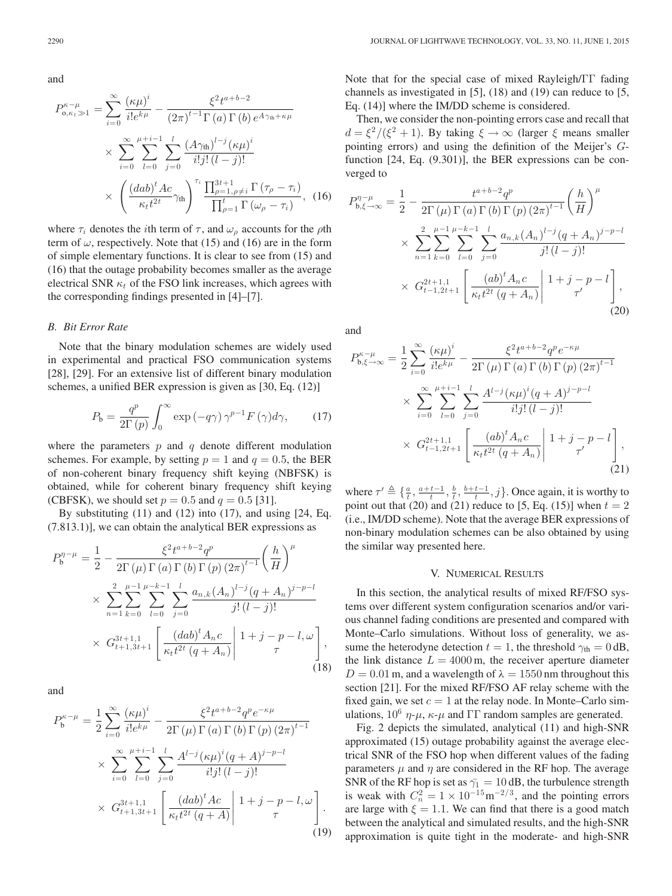and

$$
P_{\mathbf{o}, \kappa_t \gg 1}^{\kappa - \mu} = \sum_{i=0}^{\infty} \frac{(\kappa \mu)^i}{i! e^{k\mu}} - \frac{\xi^2 t^{a+b-2}}{(2\pi)^{t-1} \Gamma(a) \Gamma(b) e^{A\gamma_{\text{th}} + \kappa \mu}} \times \sum_{i=0}^{\infty} \sum_{l=0}^{\mu+i-1} \sum_{j=0}^{l} \frac{(A\gamma_{\text{th}})^{l-j} (\kappa \mu)^i}{i! j! (l-j)!} \times \left(\frac{(dab)^t A c}{\kappa_t t^{2t}} \gamma_{\text{th}}\right)^{\tau_i} \frac{\prod_{\rho=1, \rho \neq i}^{3t+1} \Gamma(\tau_\rho - \tau_i)}{\prod_{\rho=1}^t \Gamma(\omega_\rho - \tau_i)}, \quad (16)
$$

where  $\tau_i$  denotes the *i*th term of  $\tau$ , and  $\omega_\rho$  accounts for the  $\rho$ th term of  $\omega$ , respectively. Note that (15) and (16) are in the form of simple elementary functions. It is clear to see from (15) and (16) that the outage probability becomes smaller as the average electrical SNR  $\kappa_t$  of the FSO link increases, which agrees with the corresponding findings presented in [4]–[7].

## *B. Bit Error Rate*

Note that the binary modulation schemes are widely used in experimental and practical FSO communication systems [28], [29]. For an extensive list of different binary modulation schemes, a unified BER expression is given as [30, Eq. (12)]

$$
P_{\rm b} = \frac{q^p}{2\Gamma(p)} \int_0^\infty \exp\left(-q\gamma\right) \gamma^{p-1} F\left(\gamma\right) d\gamma,\tag{17}
$$

where the parameters  $p$  and  $q$  denote different modulation schemes. For example, by setting  $p = 1$  and  $q = 0.5$ , the BER of non-coherent binary frequency shift keying (NBFSK) is obtained, while for coherent binary frequency shift keying (CBFSK), we should set  $p = 0.5$  and  $q = 0.5$  [31].

By substituting  $(11)$  and  $(12)$  into  $(17)$ , and using  $[24, Eq.]$ (7.813.1)], we can obtain the analytical BER expressions as

$$
P_{b}^{\eta-\mu} = \frac{1}{2} - \frac{\xi^{2}t^{a+b-2}q^{p}}{2\Gamma(\mu)\Gamma(a)\Gamma(b)\Gamma(p)(2\pi)^{t-1}} \left(\frac{h}{H}\right)^{\mu}
$$
  
 
$$
\times \sum_{n=1}^{2} \sum_{k=0}^{\mu-1} \sum_{l=0}^{\mu-k-1} \sum_{j=0}^{l} \frac{a_{n,k}(A_{n})^{l-j}(q+A_{n})^{j-p-l}}{j!(l-j)!}
$$
  
 
$$
\times G_{t+1,3t+1}^{3t+1,1} \left[ \frac{(dab)^{t}A_{n}c}{\kappa_{t}t^{2t}(q+A_{n})} \middle| 1+j-p-l, \omega \right],
$$
 (18)

and

$$
P_b^{\kappa-\mu} = \frac{1}{2} \sum_{i=0}^{\infty} \frac{(\kappa \mu)^i}{i! e^{k\mu}} - \frac{\xi^2 t^{a+b-2} q^p e^{-\kappa \mu}}{2 \Gamma(\mu) \Gamma(a) \Gamma(b) \Gamma(p) (2\pi)^{t-1}} \times \sum_{i=0}^{\infty} \sum_{l=0}^{\mu+i-1} \sum_{j=0}^{l} \frac{A^{l-j} (\kappa \mu)^i (q+A)^{j-p-l}}{i! j! (l-j)!} \times G_{t+1,3t+1}^{3t+1} \left[ \frac{(dab)^t Ac}{\kappa_t t^{2t} (q+A)} \middle| 1+j-p-l, \omega \right]. \tag{19}
$$

Note that for the special case of mixed Rayleigh/ΓΓ fading channels as investigated in [5], (18) and (19) can reduce to [5, Eq. (14)] where the IM/DD scheme is considered.

Then, we consider the non-pointing errors case and recall that  $d = \xi^2/(\xi^2 + 1)$ . By taking  $\xi \to \infty$  (larger  $\xi$  means smaller pointing errors) and using the definition of the Meijer's Gfunction [24, Eq. (9.301)], the BER expressions can be converged to

$$
P_{b,\xi \to \infty}^{\eta - \mu} = \frac{1}{2} - \frac{t^{a+b-2}q^p}{2\Gamma(\mu)\Gamma(a)\Gamma(b)\Gamma(p)(2\pi)^{t-1}} \left(\frac{h}{H}\right)^{\mu}
$$
  
 
$$
\times \sum_{n=1}^2 \sum_{k=0}^{\mu-1} \sum_{l=0}^{\mu-k-1} \sum_{j=0}^l \frac{a_{n,k} (A_n)^{l-j} (q + A_n)^{j-p-l}}{j!(l-j)!}
$$
  
 
$$
\times G_{t-1,2t+1}^{2t+1,1} \left[ \frac{(ab)^t A_n c}{\kappa_t t^{2t} (q + A_n)} \middle| 1+j-p-l \right], \tag{20}
$$

and

$$
P_{b,\xi \to \infty}^{\kappa - \mu} = \frac{1}{2} \sum_{i=0}^{\infty} \frac{(\kappa \mu)^i}{i! e^{k\mu}} - \frac{\xi^2 t^{a+b-2} q^p e^{-\kappa \mu}}{2\Gamma(\mu) \Gamma(a) \Gamma(b) \Gamma(p) (2\pi)^{t-1}} \times \sum_{i=0}^{\infty} \sum_{l=0}^{\mu + i - 1} \sum_{j=0}^{l} \frac{A^{l-j} (\kappa \mu)^i (q + A)^{j-p-l}}{i! j! (l-j)!} \times G_{t-1,2t+1}^{2t+1} \left[ \frac{(ab)^t A_n c}{\kappa_t t^{2t} (q + A_n)} \middle| 1 + j - p - l \right], \tag{21}
$$

where  $\tau' \triangleq \{\frac{a}{t}, \frac{a+t-1}{t}, \frac{b}{t}, \frac{b+t-1}{t}, j\}$ . Once again, it is worthy to point out that (20) and (21) reduce to [5, Eq. (15)] when  $t = 2$ (i.e., IM/DD scheme). Note that the average BER expressions of non-binary modulation schemes can be also obtained by using the similar way presented here.

# V. NUMERICAL RESULTS

In this section, the analytical results of mixed RF/FSO systems over different system configuration scenarios and/or various channel fading conditions are presented and compared with Monte–Carlo simulations. Without loss of generality, we assume the heterodyne detection  $t = 1$ , the threshold  $\gamma_{\text{th}} = 0$  dB, the link distance  $L = 4000 \text{ m}$ , the receiver aperture diameter  $D = 0.01$  m, and a wavelength of  $\lambda = 1550$  nm throughout this section [21]. For the mixed RF/FSO AF relay scheme with the fixed gain, we set  $c = 1$  at the relay node. In Monte–Carlo simulations,  $10^6$   $\eta$ - $\mu$ ,  $\kappa$ - $\mu$  and  $\Gamma\Gamma$  random samples are generated.

Fig. 2 depicts the simulated, analytical (11) and high-SNR approximated (15) outage probability against the average electrical SNR of the FSO hop when different values of the fading parameters  $\mu$  and  $\eta$  are considered in the RF hop. The average SNR of the RF hop is set as  $\bar{\gamma}_1 = 10$  dB, the turbulence strength is weak with  $C_n^2 = 1 \times 10^{-15} \text{m}^{-2/3}$ , and the pointing errors are large with  $\xi = 1.1$ . We can find that there is a good match between the analytical and simulated results, and the high-SNR approximation is quite tight in the moderate- and high-SNR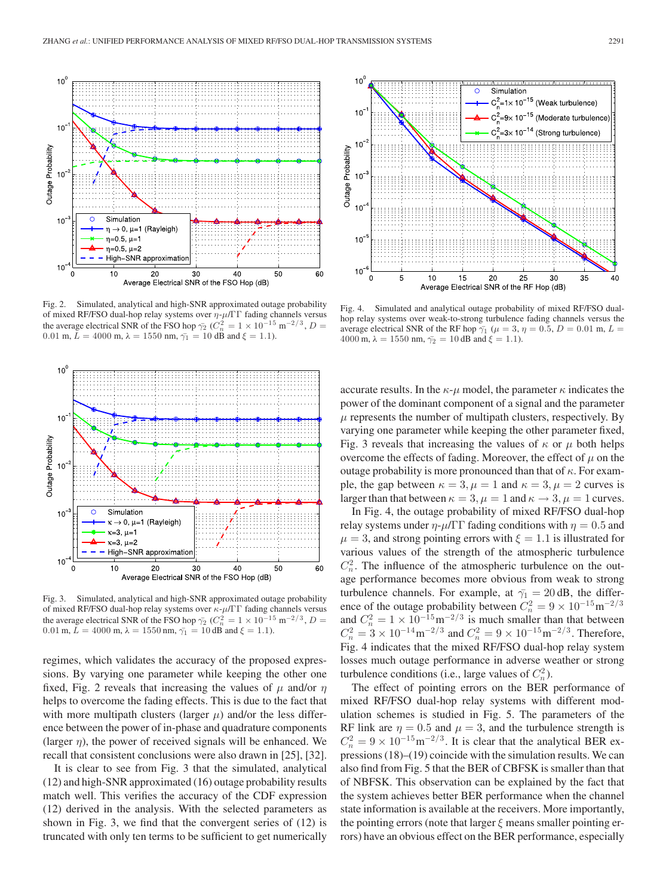

Fig. 2. Simulated, analytical and high-SNR approximated outage probability of mixed RF/FSO dual-hop relay systems over  $\eta$ - $\mu$ /ΓΓ fading channels versus the average electrical SNR of the FSO hop  $\bar{\gamma_2}$  ( $C_n^2 = 1 \times 10^{-15}$  m<sup>-2/3</sup>, D = 0.01 m,  $L = 4000$  m,  $\lambda = 1550$  nm,  $\bar{\gamma_1} = 10$  dB and  $\xi = 1.1$ ).



Fig. 3. Simulated, analytical and high-SNR approximated outage probability of mixed RF/FSO dual-hop relay systems over  $\kappa$ - $\mu$ /ΓΓ fading channels versus the average electrical SNR of the FSO hop  $\bar{\gamma_2}$  ( $C_n^2 = 1 \times 10^{-15}$  m<sup>-2/3</sup>, D = 0.01 m,  $L = 4000$  m,  $\lambda = 1550$  nm,  $\bar{\gamma_1} = 10$  dB and  $\xi = 1.1$ ).

regimes, which validates the accuracy of the proposed expressions. By varying one parameter while keeping the other one fixed, Fig. 2 reveals that increasing the values of  $\mu$  and/or  $\eta$ helps to overcome the fading effects. This is due to the fact that with more multipath clusters (larger  $\mu$ ) and/or the less difference between the power of in-phase and quadrature components (larger  $\eta$ ), the power of received signals will be enhanced. We recall that consistent conclusions were also drawn in [25], [32].

It is clear to see from Fig. 3 that the simulated, analytical (12) and high-SNR approximated (16) outage probability results match well. This verifies the accuracy of the CDF expression (12) derived in the analysis. With the selected parameters as shown in Fig. 3, we find that the convergent series of (12) is truncated with only ten terms to be sufficient to get numerically



Fig. 4. Simulated and analytical outage probability of mixed RF/FSO dualhop relay systems over weak-to-strong turbulence fading channels versus the average electrical SNR of the RF hop  $\bar{\gamma}_1$  ( $\mu = 3$ ,  $\eta = 0.5$ ,  $D = 0.01$  m,  $L =$ 4000 m,  $\lambda = 1550$  nm,  $\bar{\gamma}_2 = 10$  dB and  $\xi = 1.1$ ).

accurate results. In the  $\kappa$ - $\mu$  model, the parameter  $\kappa$  indicates the power of the dominant component of a signal and the parameter  $\mu$  represents the number of multipath clusters, respectively. By varying one parameter while keeping the other parameter fixed, Fig. 3 reveals that increasing the values of  $\kappa$  or  $\mu$  both helps overcome the effects of fading. Moreover, the effect of  $\mu$  on the outage probability is more pronounced than that of  $\kappa$ . For example, the gap between  $\kappa = 3$ ,  $\mu = 1$  and  $\kappa = 3$ ,  $\mu = 2$  curves is larger than that between  $\kappa = 3$ ,  $\mu = 1$  and  $\kappa \rightarrow 3$ ,  $\mu = 1$  curves.

In Fig. 4, the outage probability of mixed RF/FSO dual-hop relay systems under  $\eta$ - $\mu$ /ΓΓ fading conditions with  $\eta = 0.5$  and  $\mu = 3$ , and strong pointing errors with  $\xi = 1.1$  is illustrated for various values of the strength of the atmospheric turbulence  $C_n^2$ . The influence of the atmospheric turbulence on the outage performance becomes more obvious from weak to strong turbulence channels. For example, at  $\bar{\gamma}_1 = 20 \text{ dB}$ , the difference of the outage probability between  $C_n^2 = 9 \times 10^{-15} \text{m}^{-2/3}$ and  $C_n^2 = 1 \times 10^{-15} \text{m}^{-2/3}$  is much smaller than that between  $C_n^2 = 3 \times 10^{-14} \text{m}^{-2/3}$  and  $C_n^2 = 9 \times 10^{-15} \text{m}^{-2/3}$ . Therefore, Fig. 4 indicates that the mixed RF/FSO dual-hop relay system losses much outage performance in adverse weather or strong turbulence conditions (i.e., large values of  $C_n^2$ ).

The effect of pointing errors on the BER performance of mixed RF/FSO dual-hop relay systems with different modulation schemes is studied in Fig. 5. The parameters of the RF link are  $\eta = 0.5$  and  $\mu = 3$ , and the turbulence strength is  $C_n^2 = 9 \times 10^{-15} \text{m}^{-2/3}$ . It is clear that the analytical BER expressions (18)–(19) coincide with the simulation results. We can also find from Fig. 5 that the BER of CBFSK is smaller than that of NBFSK. This observation can be explained by the fact that the system achieves better BER performance when the channel state information is available at the receivers. More importantly, the pointing errors (note that larger  $\xi$  means smaller pointing errors) have an obvious effect on the BER performance, especially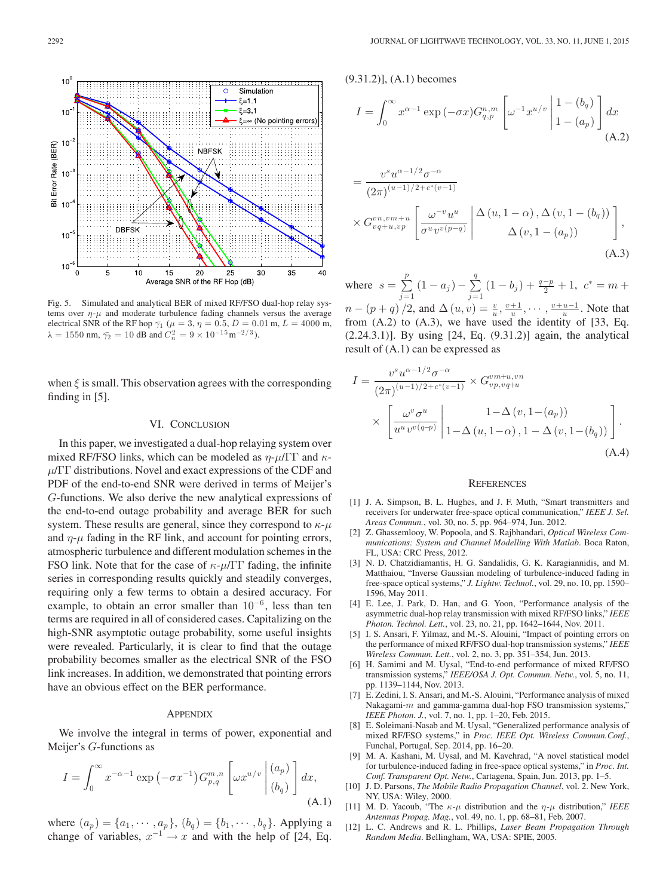

$$
I = \int_0^\infty x^{\alpha - 1} \exp\left(-\sigma x\right) G_{q,p}^{n,m} \left[\omega^{-1} x^{u/v} \left| \begin{array}{c} 1 - (b_q) \\ 1 - (a_p) \end{array} \right] dx \right]
$$
\n(A.2)

$$
= \frac{v^s u^{\alpha - 1/2} \sigma^{-\alpha}}{(2\pi)^{(u-1)/2 + c^*(v-1)}}
$$
  
 
$$
\times G_{vq+u,vp}^{vn,vm+u} \left[ \frac{\omega^{-v} u^u}{\sigma^u v^v (p-q)} \middle| \frac{\Delta(u, 1-\alpha), \Delta(v, 1-(b_q))}{\Delta(v, 1-(a_p))} \right],
$$
  
(A.3)

where  $s = \sum_{j=1}^{p} (1 - a_j) - \sum_{j=1}^{q} (1 - b_j) + \frac{q-p}{2} + 1$ ,  $c^* = m +$  $n - (p + q) / 2$ , and  $\Delta(u, v) = \frac{v}{u}, \frac{v+1}{u}, \dots, \frac{v+u-1}{u}$ . Note that from  $(A.2)$  to  $(A.3)$ , we have used the identity of  $[33, Eq.$ (2.24.3.1)]. By using [24, Eq. (9.31.2)] again, the analytical result of (A.1) can be expressed as

$$
I = \frac{v^s u^{\alpha - 1/2} \sigma^{-\alpha}}{(2\pi)^{(u-1)/2 + c^*(v-1)}} \times G_{vp, vq+u}^{vm+u, vn}
$$

$$
\times \left[ \frac{\omega^v \sigma^u}{u^u v^{v(q-p)}} \middle| 1 - \Delta(u, 1-\alpha), 1 - \Delta(v, 1-(b_q)) \right].
$$

$$
(A.4)
$$

## **REFERENCES**

- [1] J. A. Simpson, B. L. Hughes, and J. F. Muth, "Smart transmitters and receivers for underwater free-space optical communication," *IEEE J. Sel. Areas Commun.*, vol. 30, no. 5, pp. 964–974, Jun. 2012.
- [2] Z. Ghassemlooy, W. Popoola, and S. Rajbhandari, *Optical Wireless Communications: System and Channel Modelling With Matlab*. Boca Raton, FL, USA: CRC Press, 2012.
- [3] N. D. Chatzidiamantis, H. G. Sandalidis, G. K. Karagiannidis, and M. Matthaiou, "Inverse Gaussian modeling of turbulence-induced fading in free-space optical systems," *J. Lightw. Technol.*, vol. 29, no. 10, pp. 1590– 1596, May 2011.
- [4] E. Lee, J. Park, D. Han, and G. Yoon, "Performance analysis of the asymmetric dual-hop relay transmission with mixed RF/FSO links," *IEEE Photon. Technol. Lett.*, vol. 23, no. 21, pp. 1642–1644, Nov. 2011.
- [5] I. S. Ansari, F. Yilmaz, and M.-S. Alouini, "Impact of pointing errors on the performance of mixed RF/FSO dual-hop transmission systems," *IEEE Wireless Commun. Lett.*, vol. 2, no. 3, pp. 351–354, Jun. 2013.
- [6] H. Samimi and M. Uysal, "End-to-end performance of mixed RF/FSO transmission systems," *IEEE/OSA J. Opt. Commun. Netw.*, vol. 5, no. 11, pp. 1139–1144, Nov. 2013.
- [7] E. Zedini, I. S. Ansari, and M.-S. Alouini, "Performance analysis of mixed Nakagami- $m$  and gamma-gamma dual-hop FSO transmission systems," *IEEE Photon. J.*, vol. 7, no. 1, pp. 1–20, Feb. 2015.
- [8] E. Soleimani-Nasab and M. Uysal, "Generalized performance analysis of mixed RF/FSO systems," in *Proc. IEEE Opt. Wireless Commun.Conf.*, Funchal, Portugal, Sep. 2014, pp. 16–20.
- [9] M. A. Kashani, M. Uysal, and M. Kavehrad, "A novel statistical model for turbulence-induced fading in free-space optical systems," in *Proc. Int. Conf. Transparent Opt. Netw.*, Cartagena, Spain, Jun. 2013, pp. 1–5.
- [10] J. D. Parsons, *The Mobile Radio Propagation Channel*, vol. 2. New York, NY, USA: Wiley, 2000.
- [11] M. D. Yacoub, "The  $\kappa$ - $\mu$  distribution and the  $\eta$ - $\mu$  distribution," *IEEE Antennas Propag. Mag.*, vol. 49, no. 1, pp. 68–81, Feb. 2007.
- [12] L. C. Andrews and R. L. Phillips, *Laser Beam Propagation Through Random Media*. Bellingham, WA, USA: SPIE, 2005.

Fig. 5. Simulated and analytical BER of mixed RF/FSO dual-hop relay systems over  $\eta$ - $\mu$  and moderate turbulence fading channels versus the average electrical SNR of the RF hop  $\bar{\gamma_1}$  ( $\mu = 3$ ,  $\eta = 0.5$ ,  $D = 0.01$  m,  $L = 4000$  m,  $\lambda = 1550$  nm,  $\bar{\gamma}_2 = 10$  dB and  $C_n^2 = 9 \times 10^{-15}$  m<sup>-2/3</sup>).

when  $\xi$  is small. This observation agrees with the corresponding finding in [5].

# VI. CONCLUSION

In this paper, we investigated a dual-hop relaying system over mixed RF/FSO links, which can be modeled as  $\eta$ - $\mu$ /ΓΓ and  $\kappa$ - $\mu/\Gamma\Gamma$  distributions. Novel and exact expressions of the CDF and PDF of the end-to-end SNR were derived in terms of Meijer's G-functions. We also derive the new analytical expressions of the end-to-end outage probability and average BER for such system. These results are general, since they correspond to  $\kappa$ - $\mu$ and  $\eta$ - $\mu$  fading in the RF link, and account for pointing errors, atmospheric turbulence and different modulation schemes in the FSO link. Note that for the case of  $\kappa$ - $\mu$ /ΓΓ fading, the infinite series in corresponding results quickly and steadily converges, requiring only a few terms to obtain a desired accuracy. For example, to obtain an error smaller than  $10^{-6}$ , less than ten terms are required in all of considered cases. Capitalizing on the high-SNR asymptotic outage probability, some useful insights were revealed. Particularly, it is clear to find that the outage probability becomes smaller as the electrical SNR of the FSO link increases. In addition, we demonstrated that pointing errors have an obvious effect on the BER performance.

## **APPENDIX**

We involve the integral in terms of power, exponential and Meijer's G-functions as

$$
I = \int_0^\infty x^{-\alpha - 1} \exp\left(-\sigma x^{-1}\right) G_{p,q}^{m,n} \left[\omega x^{u/v} \begin{vmatrix} (a_p) \\ (b_q) \end{vmatrix} dx, \tag{A.1}
$$

where  $(a_p) = \{a_1, \dots, a_p\}, (b_q) = \{b_1, \dots, b_q\}.$  Applying a change of variables,  $x^{-1} \rightarrow x$  and with the help of [24, Eq.